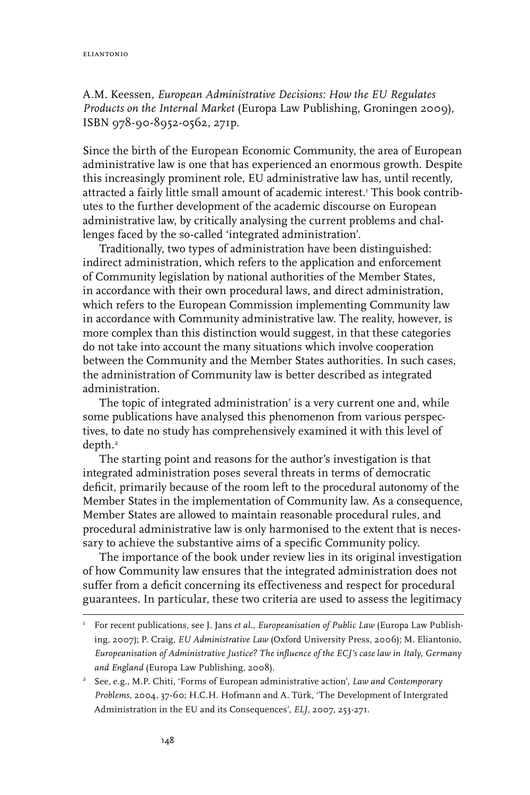A.M. Keessen, *European Administrative Decisions: How the EU Regulates Products on the Internal Market* (Europa Law Publishing, Groningen 2009), ISBN 978-90-8952-0562, 271p.

Since the birth of the European Economic Community, the area of European administrative law is one that has experienced an enormous growth. Despite this increasingly prominent role, EU administrative law has, until recently, attracted a fairly little small amount of academic interest.1 This book contributes to the further development of the academic discourse on European administrative law, by critically analysing the current problems and challenges faced by the so-called 'integrated administration'.

Traditionally, two types of administration have been distinguished: indirect administration, which refers to the application and enforcement of Community legislation by national authorities of the Member States, in accordance with their own procedural laws, and direct administration, which refers to the European Commission implementing Community law in accordance with Community administrative law. The reality, however, is more complex than this distinction would suggest, in that these categories do not take into account the many situations which involve cooperation between the Community and the Member States authorities. In such cases, the administration of Community law is better described as integrated administration.

The topic of integrated administration' is a very current one and, while some publications have analysed this phenomenon from various perspectives, to date no study has comprehensively examined it with this level of depth.2

The starting point and reasons for the author's investigation is that integrated administration poses several threats in terms of democratic deficit, primarily because of the room left to the procedural autonomy of the Member States in the implementation of Community law. As a consequence, Member States are allowed to maintain reasonable procedural rules, and procedural administrative law is only harmonised to the extent that is necessary to achieve the substantive aims of a specific Community policy.

The importance of the book under review lies in its original investigation of how Community law ensures that the integrated administration does not suffer from a deficit concerning its effectiveness and respect for procedural guarantees. In particular, these two criteria are used to assess the legitimacy

<sup>1</sup> For recent publications, see J. Jans *et al.*, *Europeanisation of Public Law* (Europa Law Publishing, 2007); P. Craig, *EU Administrative Law* (Oxford University Press, 2006); M. Eliantonio, *Europeanisation of Administrative Justice? The influence of the ECJ's case law in Italy, Germany and England* (Europa Law Publishing, 2008).

<sup>2</sup> See, e.g., M.P. Chiti, 'Forms of European administrative action', *Law and Contemporary Problems*, 2004, 37-60; H.C.H. Hofmann and A. Türk, 'The Development of Intergrated Administration in the EU and its Consequences', *ELJ*, 2007, 253-271.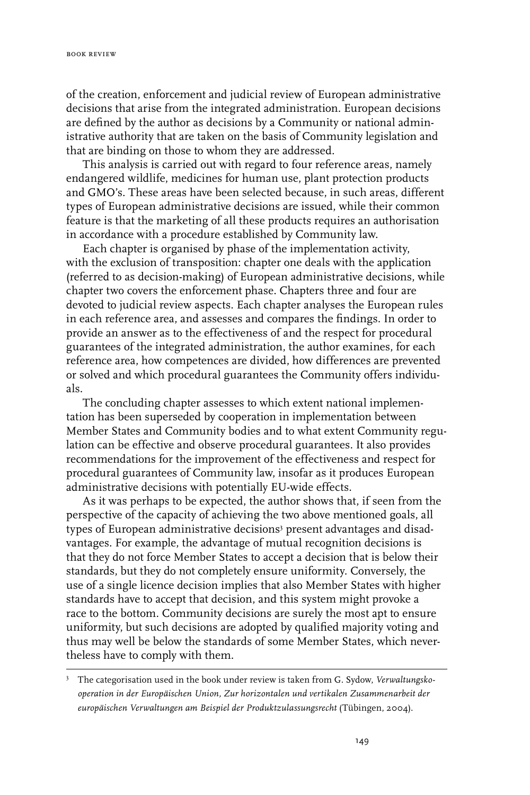of the creation, enforcement and judicial review of European administrative decisions that arise from the integrated administration. European decisions are defined by the author as decisions by a Community or national administrative authority that are taken on the basis of Community legislation and that are binding on those to whom they are addressed.

This analysis is carried out with regard to four reference areas, namely endangered wildlife, medicines for human use, plant protection products and GMO's. These areas have been selected because, in such areas, different types of European administrative decisions are issued, while their common feature is that the marketing of all these products requires an authorisation in accordance with a procedure established by Community law.

Each chapter is organised by phase of the implementation activity, with the exclusion of transposition: chapter one deals with the application (referred to as decision-making) of European administrative decisions, while chapter two covers the enforcement phase. Chapters three and four are devoted to judicial review aspects. Each chapter analyses the European rules in each reference area, and assesses and compares the findings. In order to provide an answer as to the effectiveness of and the respect for procedural guarantees of the integrated administration, the author examines, for each reference area, how competences are divided, how differences are prevented or solved and which procedural guarantees the Community offers individuals.

The concluding chapter assesses to which extent national implementation has been superseded by cooperation in implementation between Member States and Community bodies and to what extent Community regulation can be effective and observe procedural guarantees. It also provides recommendations for the improvement of the effectiveness and respect for procedural guarantees of Community law, insofar as it produces European administrative decisions with potentially EU-wide effects.

As it was perhaps to be expected, the author shows that, if seen from the perspective of the capacity of achieving the two above mentioned goals, all types of European administrative decisions<sup>3</sup> present advantages and disadvantages. For example, the advantage of mutual recognition decisions is that they do not force Member States to accept a decision that is below their standards, but they do not completely ensure uniformity. Conversely, the use of a single licence decision implies that also Member States with higher standards have to accept that decision, and this system might provoke a race to the bottom. Community decisions are surely the most apt to ensure uniformity, but such decisions are adopted by qualified majority voting and thus may well be below the standards of some Member States, which nevertheless have to comply with them.

<sup>3</sup> The categorisation used in the book under review is taken from G. Sydow, *Verwaltungskooperation in der Europäischen Union, Zur horizontalen und vertikalen Zusammenarbeit der europäischen Verwaltungen am Beispiel der Produktzulassungsrecht* (Tübingen, 2004).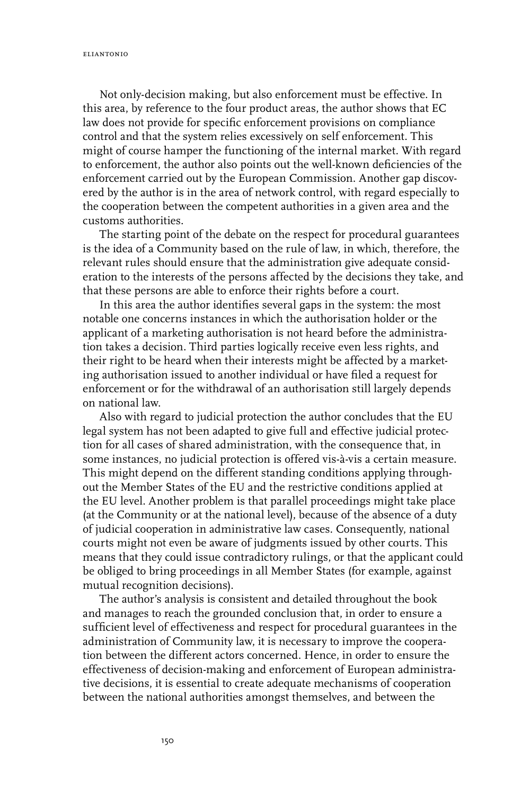Not only-decision making, but also enforcement must be effective. In this area, by reference to the four product areas, the author shows that EC law does not provide for specific enforcement provisions on compliance control and that the system relies excessively on self enforcement. This might of course hamper the functioning of the internal market. With regard to enforcement, the author also points out the well-known deficiencies of the enforcement carried out by the European Commission. Another gap discovered by the author is in the area of network control, with regard especially to the cooperation between the competent authorities in a given area and the customs authorities.

The starting point of the debate on the respect for procedural guarantees is the idea of a Community based on the rule of law, in which, therefore, the relevant rules should ensure that the administration give adequate consideration to the interests of the persons affected by the decisions they take, and that these persons are able to enforce their rights before a court.

In this area the author identifies several gaps in the system: the most notable one concerns instances in which the authorisation holder or the applicant of a marketing authorisation is not heard before the administration takes a decision. Third parties logically receive even less rights, and their right to be heard when their interests might be affected by a marketing authorisation issued to another individual or have filed a request for enforcement or for the withdrawal of an authorisation still largely depends on national law.

Also with regard to judicial protection the author concludes that the EU legal system has not been adapted to give full and effective judicial protection for all cases of shared administration, with the consequence that, in some instances, no judicial protection is offered vis-à-vis a certain measure. This might depend on the different standing conditions applying throughout the Member States of the EU and the restrictive conditions applied at the EU level. Another problem is that parallel proceedings might take place (at the Community or at the national level), because of the absence of a duty of judicial cooperation in administrative law cases. Consequently, national courts might not even be aware of judgments issued by other courts. This means that they could issue contradictory rulings, or that the applicant could be obliged to bring proceedings in all Member States (for example, against mutual recognition decisions).

The author's analysis is consistent and detailed throughout the book and manages to reach the grounded conclusion that, in order to ensure a sufficient level of effectiveness and respect for procedural guarantees in the administration of Community law, it is necessary to improve the cooperation between the different actors concerned. Hence, in order to ensure the effectiveness of decision-making and enforcement of European administrative decisions, it is essential to create adequate mechanisms of cooperation between the national authorities amongst themselves, and between the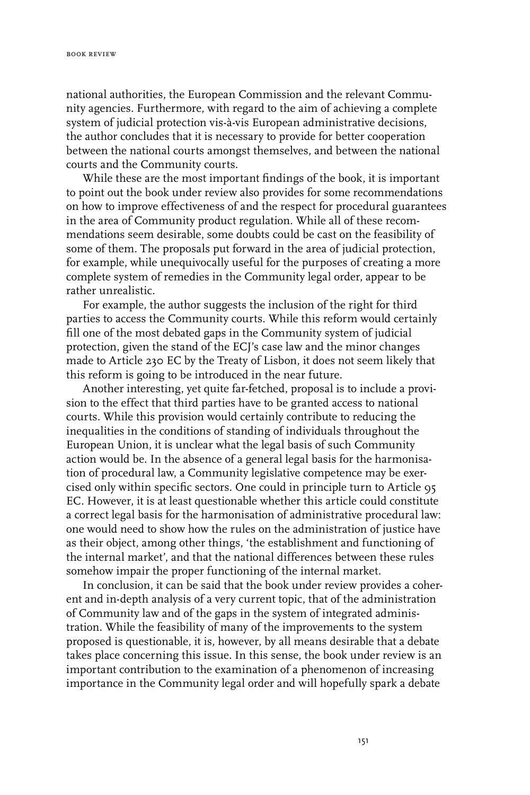national authorities, the European Commission and the relevant Community agencies. Furthermore, with regard to the aim of achieving a complete system of judicial protection vis-à-vis European administrative decisions, the author concludes that it is necessary to provide for better cooperation between the national courts amongst themselves, and between the national courts and the Community courts.

While these are the most important findings of the book, it is important to point out the book under review also provides for some recommendations on how to improve effectiveness of and the respect for procedural guarantees in the area of Community product regulation. While all of these recommendations seem desirable, some doubts could be cast on the feasibility of some of them. The proposals put forward in the area of judicial protection, for example, while unequivocally useful for the purposes of creating a more complete system of remedies in the Community legal order, appear to be rather unrealistic.

For example, the author suggests the inclusion of the right for third parties to access the Community courts. While this reform would certainly fill one of the most debated gaps in the Community system of judicial protection, given the stand of the ECJ's case law and the minor changes made to Article 230 EC by the Treaty of Lisbon, it does not seem likely that this reform is going to be introduced in the near future.

Another interesting, yet quite far-fetched, proposal is to include a provision to the effect that third parties have to be granted access to national courts. While this provision would certainly contribute to reducing the inequalities in the conditions of standing of individuals throughout the European Union, it is unclear what the legal basis of such Community action would be. In the absence of a general legal basis for the harmonisation of procedural law, a Community legislative competence may be exercised only within specific sectors. One could in principle turn to Article 95 EC. However, it is at least questionable whether this article could constitute a correct legal basis for the harmonisation of administrative procedural law: one would need to show how the rules on the administration of justice have as their object, among other things, 'the establishment and functioning of the internal market', and that the national differences between these rules somehow impair the proper functioning of the internal market.

In conclusion, it can be said that the book under review provides a coherent and in-depth analysis of a very current topic, that of the administration of Community law and of the gaps in the system of integrated administration. While the feasibility of many of the improvements to the system proposed is questionable, it is, however, by all means desirable that a debate takes place concerning this issue. In this sense, the book under review is an important contribution to the examination of a phenomenon of increasing importance in the Community legal order and will hopefully spark a debate